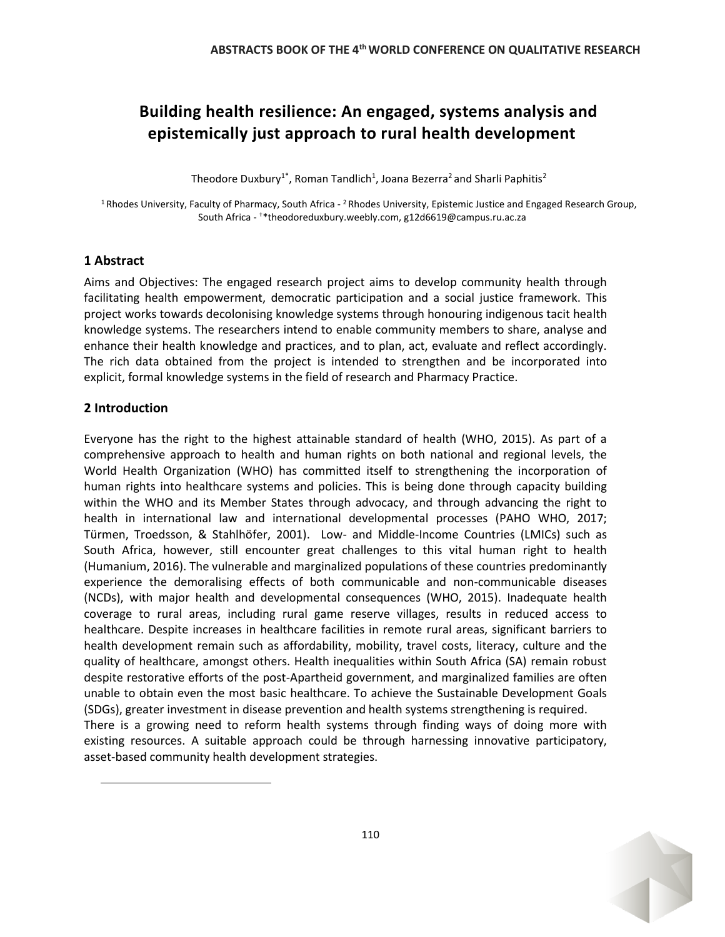# **Building health resilience: An engaged, systems analysis and epistemically just approach to rural health development**

Theodore Duxbury<sup>1\*</sup>, Roman Tandlich<sup>1</sup>, Joana Bezerra<sup>2</sup> and Sharli Paphitis<sup>2</sup>

<sup>1</sup> Rhodes University, Faculty of Pharmacy, South Africa - <sup>2</sup> Rhodes University, Epistemic Justice and Engaged Research Group, South Africa - †\*theodoreduxbury.weebly.com, g12d6619@campus.ru.ac.za

## **1 Abstract**

Aims and Objectives: The engaged research project aims to develop community health through facilitating health empowerment, democratic participation and a social justice framework. This project works towards decolonising knowledge systems through honouring indigenous tacit health knowledge systems. The researchers intend to enable community members to share, analyse and enhance their health knowledge and practices, and to plan, act, evaluate and reflect accordingly. The rich data obtained from the project is intended to strengthen and be incorporated into explicit, formal knowledge systems in the field of research and Pharmacy Practice.

# **2 Introduction**

Everyone has the right to the highest attainable standard of health (WHO, 2015). As part of a comprehensive approach to health and human rights on both national and regional levels, the World Health Organization (WHO) has committed itself to strengthening the incorporation of human rights into healthcare systems and policies. This is being done through capacity building within the WHO and its Member States through advocacy, and through advancing the right to health in international law and international developmental processes (PAHO WHO, 2017; Türmen, Troedsson, & Stahlhöfer, 2001). Low- and Middle-Income Countries (LMICs) such as South Africa, however, still encounter great challenges to this vital human right to health (Humanium, 2016). The vulnerable and marginalized populations of these countries predominantly experience the demoralising effects of both communicable and non-communicable diseases (NCDs), with major health and developmental consequences (WHO, 2015). Inadequate health coverage to rural areas, including rural game reserve villages, results in reduced access to healthcare. Despite increases in healthcare facilities in remote rural areas, significant barriers to health development remain such as affordability, mobility, travel costs, literacy, culture and the quality of healthcare, amongst others. Health inequalities within South Africa (SA) remain robust despite restorative efforts of the post-Apartheid government, and marginalized families are often unable to obtain even the most basic healthcare. To achieve the Sustainable Development Goals (SDGs), greater investment in disease prevention and health systems strengthening is required. There is a growing need to reform health systems through finding ways of doing more with existing resources. A suitable approach could be through harnessing innovative participatory, asset-based community health development strategies.

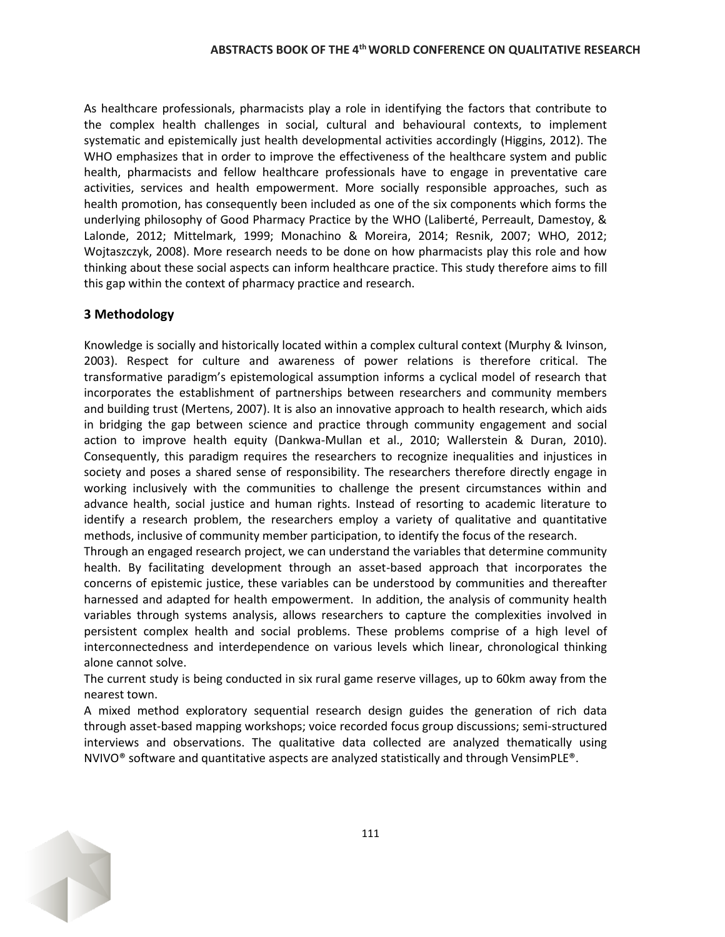As healthcare professionals, pharmacists play a role in identifying the factors that contribute to the complex health challenges in social, cultural and behavioural contexts, to implement systematic and epistemically just health developmental activities accordingly (Higgins, 2012). The WHO emphasizes that in order to improve the effectiveness of the healthcare system and public health, pharmacists and fellow healthcare professionals have to engage in preventative care activities, services and health empowerment. More socially responsible approaches, such as health promotion, has consequently been included as one of the six components which forms the underlying philosophy of Good Pharmacy Practice by the WHO (Laliberté, Perreault, Damestoy, & Lalonde, 2012; Mittelmark, 1999; Monachino & Moreira, 2014; Resnik, 2007; WHO, 2012; Wojtaszczyk, 2008). More research needs to be done on how pharmacists play this role and how thinking about these social aspects can inform healthcare practice. This study therefore aims to fill this gap within the context of pharmacy practice and research.

#### **3 Methodology**

Knowledge is socially and historically located within a complex cultural context (Murphy & Ivinson, 2003). Respect for culture and awareness of power relations is therefore critical. The transformative paradigm's epistemological assumption informs a cyclical model of research that incorporates the establishment of partnerships between researchers and community members and building trust (Mertens, 2007). It is also an innovative approach to health research, which aids in bridging the gap between science and practice through community engagement and social action to improve health equity (Dankwa-Mullan et al., 2010; Wallerstein & Duran, 2010). Consequently, this paradigm requires the researchers to recognize inequalities and injustices in society and poses a shared sense of responsibility. The researchers therefore directly engage in working inclusively with the communities to challenge the present circumstances within and advance health, social justice and human rights. Instead of resorting to academic literature to identify a research problem, the researchers employ a variety of qualitative and quantitative methods, inclusive of community member participation, to identify the focus of the research.

Through an engaged research project, we can understand the variables that determine community health. By facilitating development through an asset-based approach that incorporates the concerns of epistemic justice, these variables can be understood by communities and thereafter harnessed and adapted for health empowerment. In addition, the analysis of community health variables through systems analysis, allows researchers to capture the complexities involved in persistent complex health and social problems. These problems comprise of a high level of interconnectedness and interdependence on various levels which linear, chronological thinking alone cannot solve.

The current study is being conducted in six rural game reserve villages, up to 60km away from the nearest town.

A mixed method exploratory sequential research design guides the generation of rich data through asset-based mapping workshops; voice recorded focus group discussions; semi-structured interviews and observations. The qualitative data collected are analyzed thematically using NVIVO® software and quantitative aspects are analyzed statistically and through VensimPLE®.

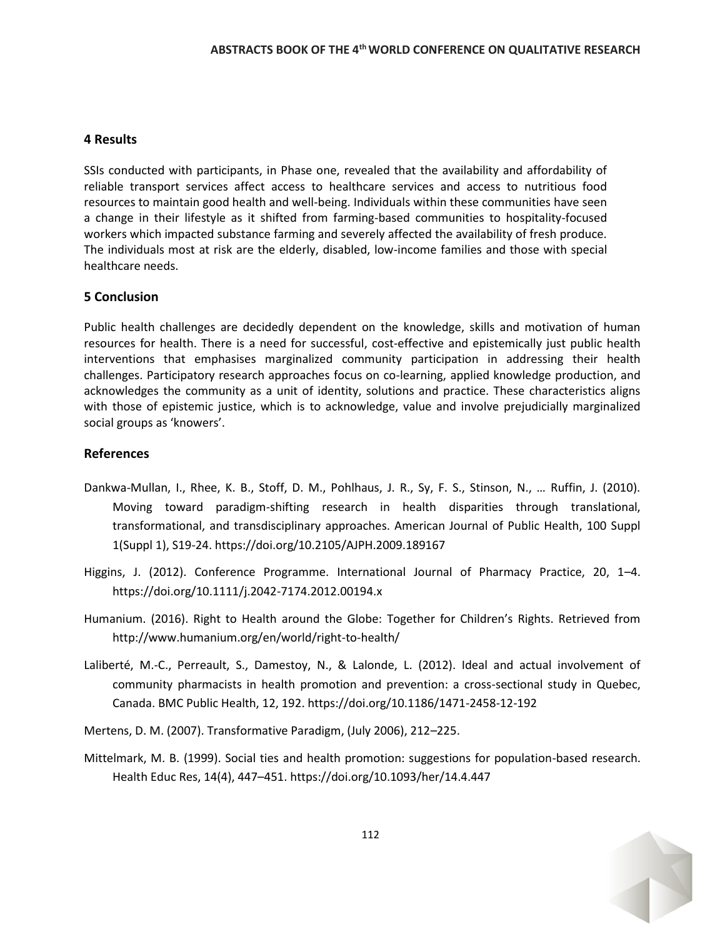#### **4 Results**

SSIs conducted with participants, in Phase one, revealed that the availability and affordability of reliable transport services affect access to healthcare services and access to nutritious food resources to maintain good health and well-being. Individuals within these communities have seen a change in their lifestyle as it shifted from farming-based communities to hospitality-focused workers which impacted substance farming and severely affected the availability of fresh produce. The individuals most at risk are the elderly, disabled, low-income families and those with special healthcare needs.

## **5 Conclusion**

Public health challenges are decidedly dependent on the knowledge, skills and motivation of human resources for health. There is a need for successful, cost-effective and epistemically just public health interventions that emphasises marginalized community participation in addressing their health challenges. Participatory research approaches focus on co-learning, applied knowledge production, and acknowledges the community as a unit of identity, solutions and practice. These characteristics aligns with those of epistemic justice, which is to acknowledge, value and involve prejudicially marginalized social groups as 'knowers'.

#### **References**

- Dankwa-Mullan, I., Rhee, K. B., Stoff, D. M., Pohlhaus, J. R., Sy, F. S., Stinson, N., … Ruffin, J. (2010). Moving toward paradigm-shifting research in health disparities through translational, transformational, and transdisciplinary approaches. American Journal of Public Health, 100 Suppl 1(Suppl 1), S19-24. https://doi.org/10.2105/AJPH.2009.189167
- Higgins, J. (2012). Conference Programme. International Journal of Pharmacy Practice, 20, 1–4. https://doi.org/10.1111/j.2042-7174.2012.00194.x
- Humanium. (2016). Right to Health around the Globe: Together for Children's Rights. Retrieved from http://www.humanium.org/en/world/right-to-health/
- Laliberté, M.-C., Perreault, S., Damestoy, N., & Lalonde, L. (2012). Ideal and actual involvement of community pharmacists in health promotion and prevention: a cross-sectional study in Quebec, Canada. BMC Public Health, 12, 192. https://doi.org/10.1186/1471-2458-12-192
- Mertens, D. M. (2007). Transformative Paradigm, (July 2006), 212–225.
- Mittelmark, M. B. (1999). Social ties and health promotion: suggestions for population-based research. Health Educ Res, 14(4), 447–451. https://doi.org/10.1093/her/14.4.447